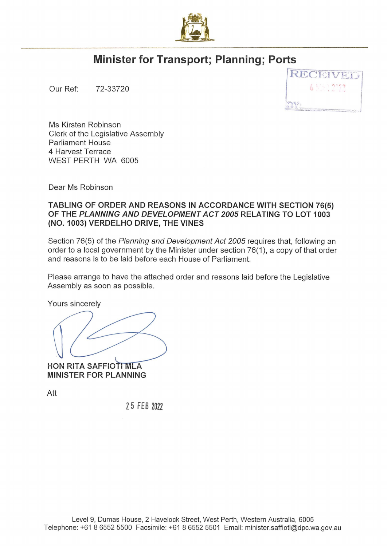

## **Minister for Transport; Planning; Ports**

Our Ref: 72-33720 '



Ms Kirsten Robinson Clerk of the Legislative Assembly Parliament House 4 Harvest Terrace WEST PERTH WA 6005

Dear Ms Robinson

## **TABLING OF ORDER AND REASONS IN ACCORDANCE WITH SECTION 76(5) OF THE PLANNING AND DEVELOPMENT ACT 2005 RELATING TO LOT 1003 (NO. 1003) VERDELHO DRIVE, THE VINES**

Section 76(5) of the Planning and Development Act 2005 requires that, following an order to a local government by the Minister under section 76(1 ), a copy of that order and reasons is to be laid before each House of Parliament.

Please arrange to have the attached order and reasons laid before the Legislative Assembly as soon as possible.

Yours sincerely

**HON RITA SAFFIOTI MLA MINISTER FOR PLANNING** 

Att

**2 5 FEB 2022**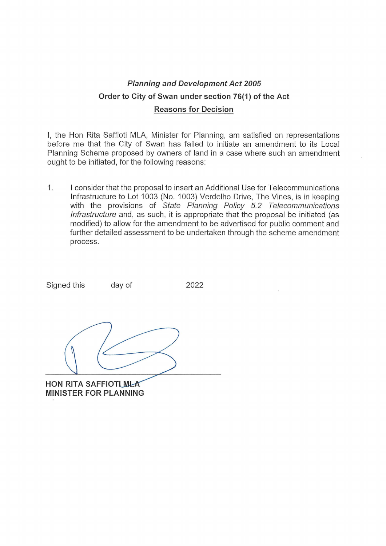## **Planning and Development Act 2005 Order to City of Swan under section 76(1) of the Act Reasons for Decision**

I, the Hon Rita Saffioti MLA, Minister for Planning, am satisfied on representations before me that the City of Swan has failed to initiate an amendment to its Local Planning Scheme proposed by owners of land in a case where such an amendment ought to be initiated, for the following reasons:

1. I consider that the proposal to insert an Additional Use for Telecommunications Infrastructure to Lot 1003 (No. 1003) Verdelho Drive, The Vines, is in keeping with the provisions of State Planning Policy 5.2 Telecommunications Infrastructure and, as such, it is appropriate that the proposal be initiated (as modified) to allow for the amendment to be advertised for public comment and further detailed assessment to be undertaken through the scheme amendment process.

2022

**HON RITA SAFFIOTI MLA MINISTER FOR PLANNING** 

Signed this day of